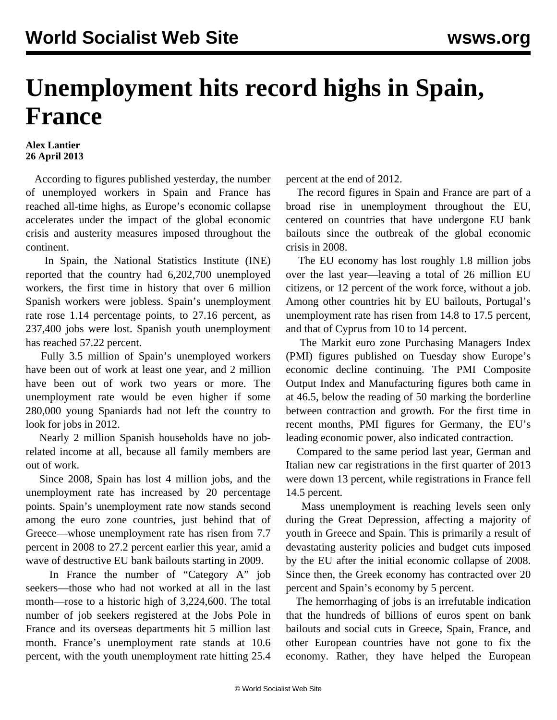## **Unemployment hits record highs in Spain, France**

## **Alex Lantier 26 April 2013**

 According to figures published yesterday, the number of unemployed workers in Spain and France has reached all-time highs, as Europe's economic collapse accelerates under the impact of the global economic crisis and austerity measures imposed throughout the continent.

 In Spain, the National Statistics Institute (INE) reported that the country had 6,202,700 unemployed workers, the first time in history that over 6 million Spanish workers were jobless. Spain's unemployment rate rose 1.14 percentage points, to 27.16 percent, as 237,400 jobs were lost. Spanish youth unemployment has reached 57.22 percent.

 Fully 3.5 million of Spain's unemployed workers have been out of work at least one year, and 2 million have been out of work two years or more. The unemployment rate would be even higher if some 280,000 young Spaniards had not left the country to look for jobs in 2012.

 Nearly 2 million Spanish households have no jobrelated income at all, because all family members are out of work.

 Since 2008, Spain has lost 4 million jobs, and the unemployment rate has increased by 20 percentage points. Spain's unemployment rate now stands second among the euro zone countries, just behind that of Greece—whose unemployment rate has risen from 7.7 percent in 2008 to 27.2 percent earlier this year, amid a wave of destructive EU bank bailouts starting in 2009.

 In France the number of "Category A" job seekers—those who had not worked at all in the last month—rose to a historic high of 3,224,600. The total number of job seekers registered at the Jobs Pole in France and its overseas departments hit 5 million last month. France's unemployment rate stands at 10.6 percent, with the youth unemployment rate hitting 25.4

percent at the end of 2012.

 The record figures in Spain and France are part of a broad rise in unemployment throughout the EU, centered on countries that have undergone EU bank bailouts since the outbreak of the global economic crisis in 2008.

 The EU economy has lost roughly 1.8 million jobs over the last year—leaving a total of 26 million EU citizens, or 12 percent of the work force, without a job. Among other countries hit by EU bailouts, Portugal's unemployment rate has risen from 14.8 to 17.5 percent, and that of Cyprus from 10 to 14 percent.

 The Markit euro zone Purchasing Managers Index (PMI) figures published on Tuesday show Europe's economic decline continuing. The PMI Composite Output Index and Manufacturing figures both came in at 46.5, below the reading of 50 marking the borderline between contraction and growth. For the first time in recent months, PMI figures for Germany, the EU's leading economic power, also indicated contraction.

 Compared to the same period last year, German and Italian new car registrations in the first quarter of 2013 were down 13 percent, while registrations in France fell 14.5 percent.

 Mass unemployment is reaching levels seen only during the Great Depression, affecting a majority of youth in Greece and Spain. This is primarily a result of devastating austerity policies and budget cuts imposed by the EU after the initial economic collapse of 2008. Since then, the Greek economy has contracted over 20 percent and Spain's economy by 5 percent.

 The hemorrhaging of jobs is an irrefutable indication that the hundreds of billions of euros spent on bank bailouts and social cuts in Greece, Spain, France, and other European countries have not gone to fix the economy. Rather, they have helped the European